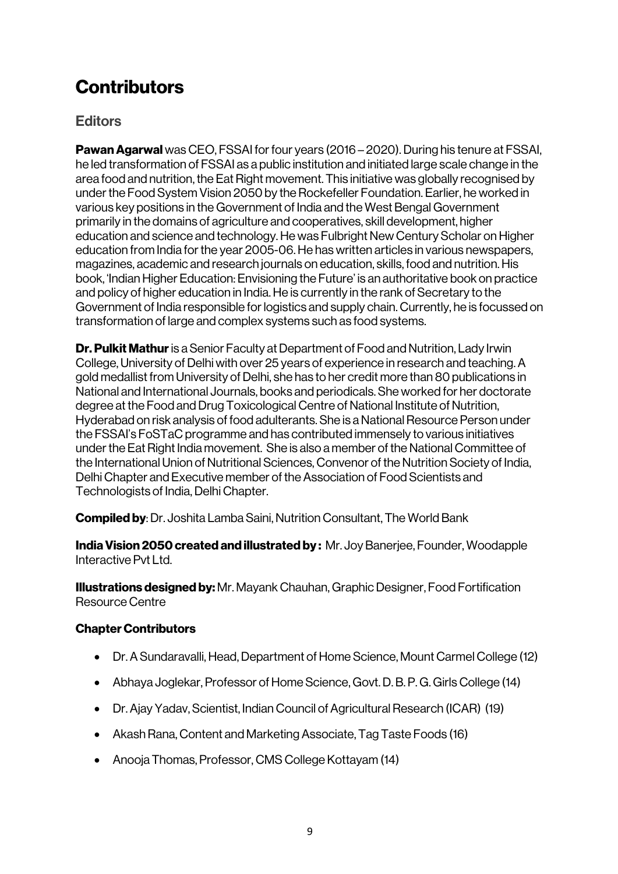## **Contributors**

## **Editors**

Pawan Agarwal was CEO, FSSAI for four years (2016 – 2020). During his tenure at FSSAI, he led transformation of FSSAI as a public institution and initiated large scale change in the area food and nutrition, the Eat Right movement. This initiative was globally recognised by under the Food System Vision 2050 by the Rockefeller Foundation. Earlier, he worked in various key positions in the Government of India and the West Bengal Government primarily in the domains of agriculture and cooperatives, skill development, higher education and science and technology. He was Fulbright New Century Scholar on Higher education from India for the year 2005-06. He has written articles in various newspapers, magazines, academic and research journals on education, skills, food and nutrition. His book, 'Indian Higher Education: Envisioning the Future' is an authoritative book on practice and policy of higher education in India. He is currently in the rank of Secretary to the Government of India responsible for logistics and supply chain. Currently, he is focussed on transformation of large and complex systems such as food systems.

**Dr. Pulkit Mathur** is a Senior Faculty at Department of Food and Nutrition, Lady Irwin College, University of Delhi with over 25 years of experience in research and teaching. A gold medallist from University of Delhi, she has to her credit more than 80 publications in National and International Journals, books and periodicals. She worked for her doctorate degree at the Food and Drug Toxicological Centre of National Institute of Nutrition, Hyderabad on risk analysis of food adulterants. She is a National Resource Person under the FSSAI's FoSTaC programme and has contributed immensely to various initiatives under the Eat Right India movement. She is also a member of the National Committee of the International Union of Nutritional Sciences, Convenor of the Nutrition Society of India, Delhi Chapter and Executive member of the Association of Food Scientists and Technologists of India, Delhi Chapter.

Compiled by: Dr. Joshita Lamba Saini, Nutrition Consultant, The World Bank

India Vision 2050 created and illustrated by: Mr. Joy Banerjee, Founder, Woodapple Interactive Pyt Ltd.

Illustrations designed by: Mr. Mayank Chauhan, Graphic Designer, Food Fortification Resource Centre

## Chapter Contributors

- Dr. A Sundaravalli, Head, Department of Home Science, Mount Carmel College (12)
- Abhaya Joglekar, Professor of Home Science, Govt. D. B. P. G. Girls College (14)
- Dr. Ajay Yadav, Scientist, Indian Council of Agricultural Research (ICAR) (19)
- Akash Rana, Content and Marketing Associate, Tag Taste Foods (16)
- Anooja Thomas, Professor, CMS College Kottayam (14)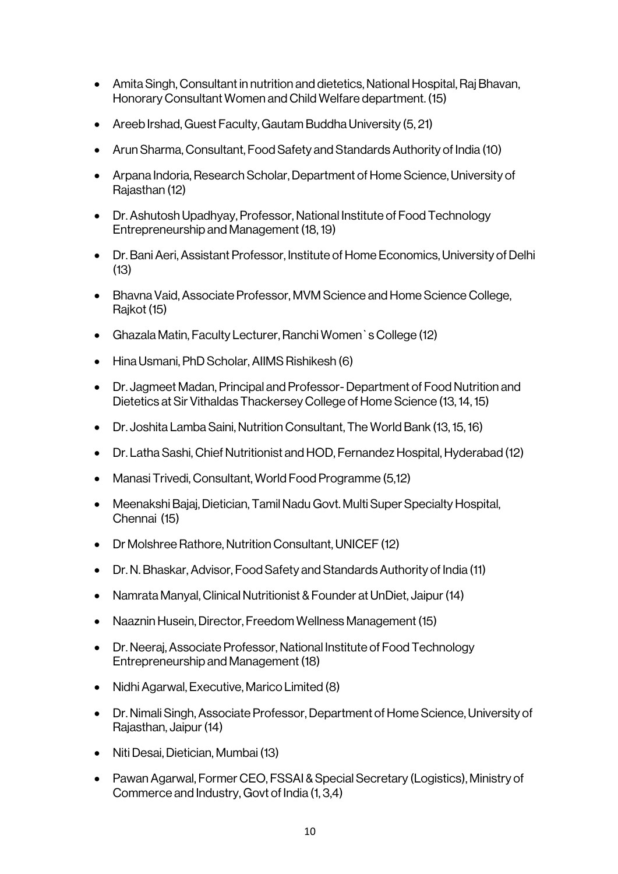- Amita Singh, Consultant in nutrition and dietetics, National Hospital, Raj Bhavan, Honorary Consultant Women and Child Welfare department. (15)
- Areeb Irshad, Guest Faculty, Gautam Buddha University (5, 21)
- Arun Sharma, Consultant, Food Safety and Standards Authority of India (10)
- Arpana Indoria, Research Scholar, Department of Home Science, University of Rajasthan (12)
- Dr. Ashutosh Upadhyay, Professor, National Institute of Food Technology Entrepreneurship and Management (18, 19)
- Dr. Bani Aeri, Assistant Professor, Institute of Home Economics, University of Delhi (13)
- Bhavna Vaid, Associate Professor, MVM Science and Home Science College, Rajkot (15)
- Ghazala Matin, Faculty Lecturer, Ranchi Women`s College (12)
- Hina Usmani, PhD Scholar, AIIMS Rishikesh (6)
- Dr. Jagmeet Madan, Principal and Professor-Department of Food Nutrition and Dietetics at Sir Vithaldas Thackersey College of Home Science (13, 14, 15)
- Dr. Joshita Lamba Saini, Nutrition Consultant, The World Bank (13, 15, 16)
- Dr. Latha Sashi, Chief Nutritionist and HOD, Fernandez Hospital, Hyderabad (12)
- Manasi Trivedi, Consultant, World Food Programme (5,12)
- Meenakshi Bajaj, Dietician, Tamil Nadu Govt. Multi Super Specialty Hospital, Chennai (15)
- Dr Molshree Rathore, Nutrition Consultant, UNICEF (12)
- Dr. N. Bhaskar, Advisor, Food Safety and Standards Authority of India (11)
- Namrata Manyal, Clinical Nutritionist & Founder at UnDiet, Jaipur (14)
- Naaznin Husein, Director, Freedom Wellness Management (15)
- Dr. Neeraj, Associate Professor, National Institute of Food Technology Entrepreneurship and Management (18)
- Nidhi Agarwal, Executive, Marico Limited (8)
- Dr. Nimali Singh, Associate Professor, Department of Home Science, University of Rajasthan, Jaipur(14)
- Niti Desai, Dietician, Mumbai (13)
- Pawan Agarwal, Former CEO, FSSAI & Special Secretary (Logistics), Ministry of Commerce and Industry, Govt of India (1, 3,4)